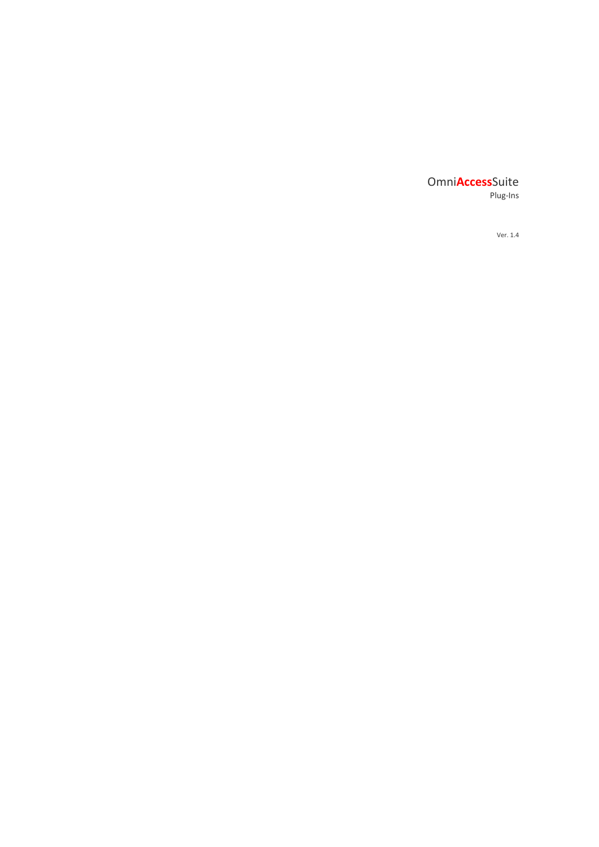# Omni**Access**Suite Plug-Ins

Ver. 1.4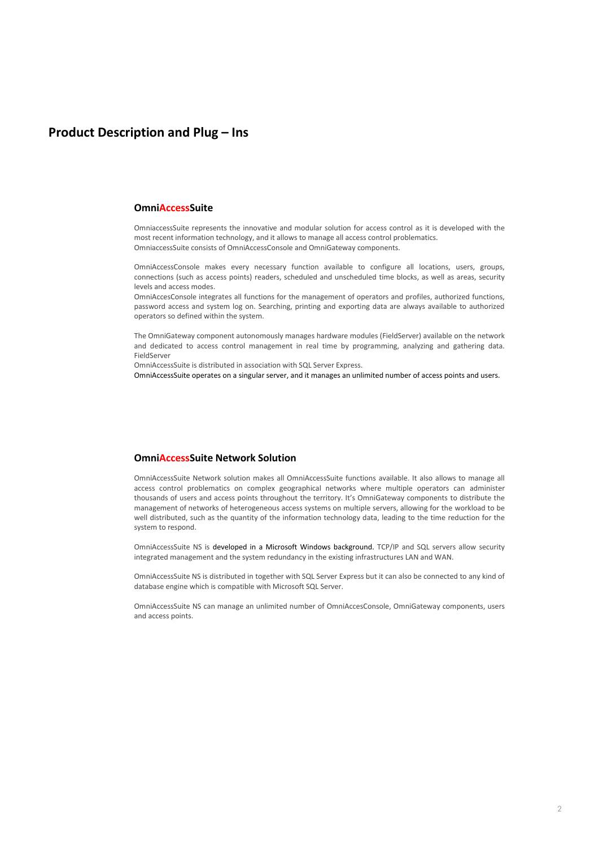# **Product Description and Plug – Ins**

### **OmniAccessSuite**

OmniaccessSuite represents the innovative and modular solution for access control as it is developed with the most recent information technology, and it allows to manage all access control problematics. OmniaccessSuite consists of OmniAccessConsole and OmniGateway components.

OmniAccessConsole makes every necessary function available to configure all locations, users, groups, connections (such as access points) readers, scheduled and unscheduled time blocks, as well as areas, security levels and access modes.

OmniAccesConsole integrates all functions for the management of operators and profiles, authorized functions, password access and system log on. Searching, printing and exporting data are always available to authorized operators so defined within the system.

The OmniGateway component autonomously manages hardware modules (FieldServer) available on the network and dedicated to access control management in real time by programming, analyzing and gathering data. FieldServer

OmniAccessSuite is distributed in association with SQL Server Express.

OmniAccessSuite operates on a singular server, and it manages an unlimited number of access points and users.

# **OmniAccessSuite Network Solution**

OmniAccessSuite Network solution makes all OmniAccessSuite functions available. It also allows to manage all access control problematics on complex geographical networks where multiple operators can administer thousands of users and access points throughout the territory. It's OmniGateway components to distribute the management of networks of heterogeneous access systems on multiple servers, allowing for the workload to be well distributed, such as the quantity of the information technology data, leading to the time reduction for the system to respond.

OmniAccessSuite NS is developed in a Microsoft Windows background. TCP/IP and SQL servers allow security integrated management and the system redundancy in the existing infrastructures LAN and WAN.

OmniAccessSuite NS is distributed in together with SQL Server Express but it can also be connected to any kind of database engine which is compatible with Microsoft SQL Server.

OmniAccessSuite NS can manage an unlimited number of OmniAccesConsole, OmniGateway components, users and access points.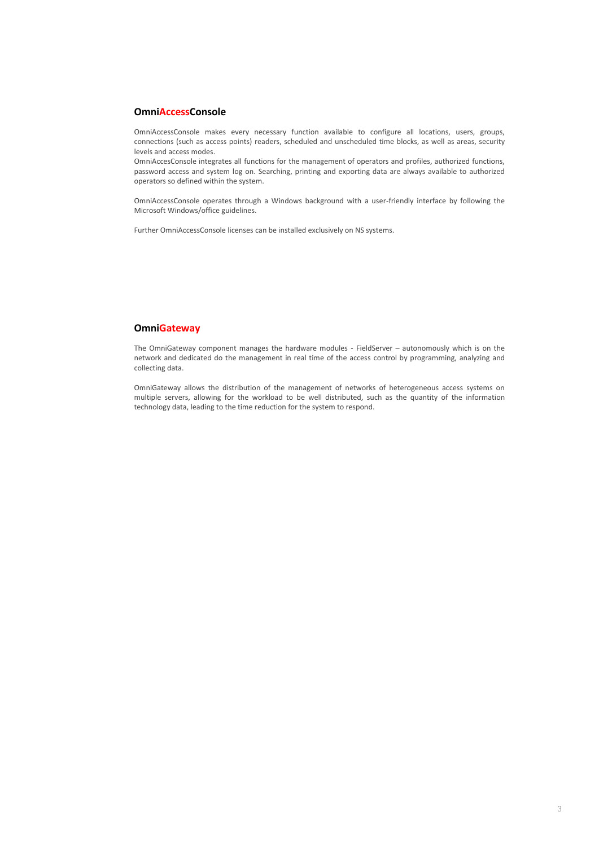## **OmniAccessConsole**

OmniAccessConsole makes every necessary function available to configure all locations, users, groups, connections (such as access points) readers, scheduled and unscheduled time blocks, as well as areas, security levels and access modes.

OmniAccesConsole integrates all functions for the management of operators and profiles, authorized functions, password access and system log on. Searching, printing and exporting data are always available to authorized operators so defined within the system.

OmniAccessConsole operates through a Windows background with a user-friendly interface by following the Microsoft Windows/office guidelines.

Further OmniAccessConsole licenses can be installed exclusively on NS systems.

## **OmniGateway**

The OmniGateway component manages the hardware modules - FieldServer – autonomously which is on the network and dedicated do the management in real time of the access control by programming, analyzing and collecting data.

OmniGateway allows the distribution of the management of networks of heterogeneous access systems on multiple servers, allowing for the workload to be well distributed, such as the quantity of the information technology data, leading to the time reduction for the system to respond.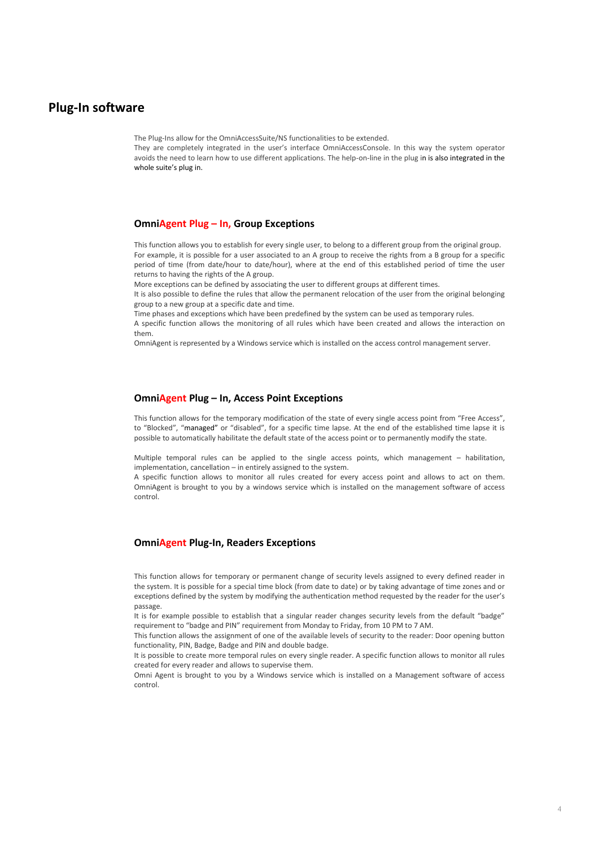# **Plug-In software**

The Plug-Ins allow for the OmniAccessSuite/NS functionalities to be extended.

They are completely integrated in the user's interface OmniAccessConsole. In this way the system operator avoids the need to learn how to use different applications. The help-on-line in the plug in is also integrated in the whole suite's plug in.

### **OmniAgent Plug – In, Group Exceptions**

This function allows you to establish for every single user, to belong to a different group from the original group. For example, it is possible for a user associated to an A group to receive the rights from a B group for a specific period of time (from date/hour to date/hour), where at the end of this established period of time the user returns to having the rights of the A group.

More exceptions can be defined by associating the user to different groups at different times.

It is also possible to define the rules that allow the permanent relocation of the user from the original belonging group to a new group at a specific date and time.

Time phases and exceptions which have been predefined by the system can be used as temporary rules.

A specific function allows the monitoring of all rules which have been created and allows the interaction on them.

OmniAgent is represented by a Windows service which is installed on the access control management server.

### **OmniAgent Plug – In, Access Point Exceptions**

This function allows for the temporary modification of the state of every single access point from "Free Access", to "Blocked", "managed" or "disabled", for a specific time lapse. At the end of the established time lapse it is possible to automatically habilitate the default state of the access point or to permanently modify the state.

Multiple temporal rules can be applied to the single access points, which management – habilitation, implementation, cancellation – in entirely assigned to the system.

A specific function allows to monitor all rules created for every access point and allows to act on them. OmniAgent is brought to you by a windows service which is installed on the management software of access control.

# **OmniAgent Plug-In, Readers Exceptions**

This function allows for temporary or permanent change of security levels assigned to every defined reader in the system. It is possible for a special time block (from date to date) or by taking advantage of time zones and or exceptions defined by the system by modifying the authentication method requested by the reader for the user's passage.

It is for example possible to establish that a singular reader changes security levels from the default "badge" requirement to "badge and PIN" requirement from Monday to Friday, from 10 PM to 7 AM.

This function allows the assignment of one of the available levels of security to the reader: Door opening button functionality, PIN, Badge, Badge and PIN and double badge.

It is possible to create more temporal rules on every single reader. A specific function allows to monitor all rules created for every reader and allows to supervise them.

Omni Agent is brought to you by a Windows service which is installed on a Management software of access control.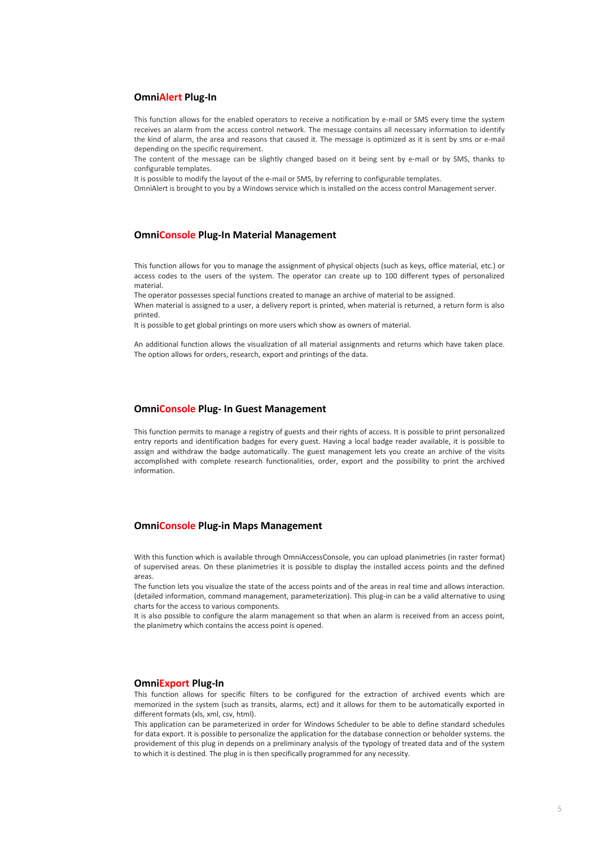### **OmniAlert Plug-In**

This function allows for the enabled operators to receive a notification by e-mail or SMS every time the system receives an alarm from the access control network. The message contains all necessary information to identify the kind of alarm, the area and reasons that caused it. The message is optimized as it is sent by sms or e-mail depending on the specific requirement.

The content of the message can be slightly changed based on it being sent by e-mail or by SMS, thanks to configurable templates.

It is possible to modify the layout of the e-mail or SMS, by referring to configurable templates.

OmniAlert is brought to you by a Windows service which is installed on the access control Management server.

#### **OmniConsole Plug-In Material Management**

This function allows for you to manage the assignment of physical objects (such as keys, office material, etc.) or access codes to the users of the system. The operator can create up to 100 different types of personalized material.

The operator possesses special functions created to manage an archive of material to be assigned.

When material is assigned to a user, a delivery report is printed, when material is returned, a return form is also printed.

It is possible to get global printings on more users which show as owners of material.

An additional function allows the visualization of all material assignments and returns which have taken place. The option allows for orders, research, export and printings of the data.

### **OmniConsole Plug- In Guest Management**

This function permits to manage a registry of guests and their rights of access. It is possible to print personalized entry reports and identification badges for every guest. Having a local badge reader available, it is possible to assign and withdraw the badge automatically. The guest management lets you create an archive of the visits accomplished with complete research functionalities, order, export and the possibility to print the archived information.

## **OmniConsole Plug-in Maps Management**

With this function which is available through OmniAccessConsole, you can upload planimetries (in raster format) of supervised areas. On these planimetries it is possible to display the installed access points and the defined areas.

The function lets you visualize the state of the access points and of the areas in real time and allows interaction. (detailed information, command management, parameterization). This plug-in can be a valid alternative to using charts for the access to various components.

It is also possible to configure the alarm management so that when an alarm is received from an access point, the planimetry which contains the access point is opened.

#### **OmniExport Plug-In**

This function allows for specific filters to be configured for the extraction of archived events which are memorized in the system (such as transits, alarms, ect) and it allows for them to be automatically exported in different formats (xls, xml, csv, html).

This application can be parameterized in order for Windows Scheduler to be able to define standard schedules for data export. It is possible to personalize the application for the database connection or beholder systems. the providement of this plug in depends on a preliminary analysis of the typology of treated data and of the system to which it is destined. The plug in is then specifically programmed for any necessity.